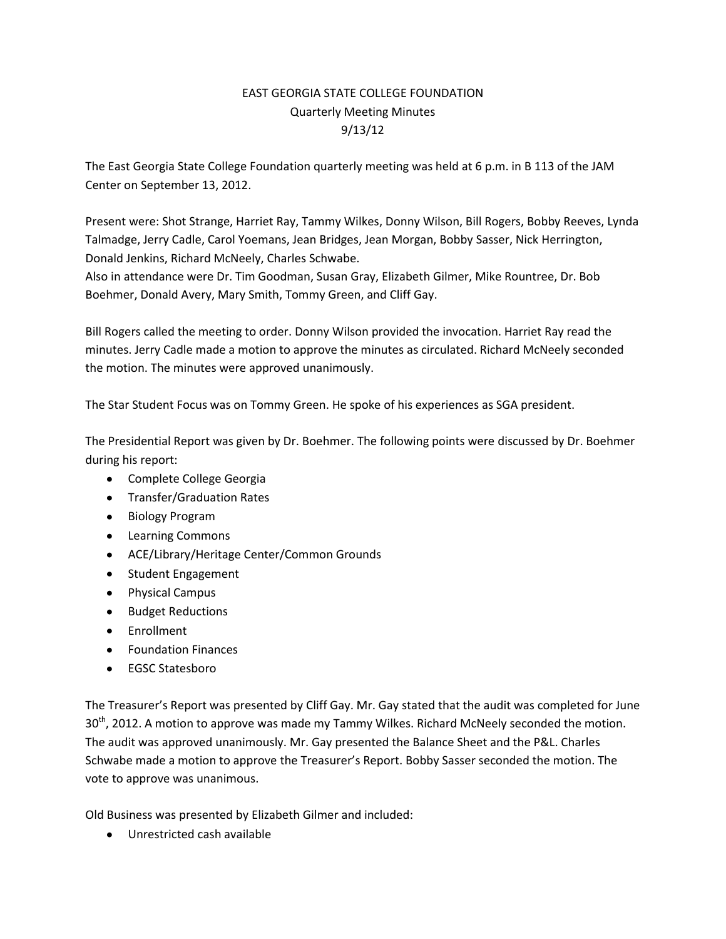## EAST GEORGIA STATE COLLEGE FOUNDATION Quarterly Meeting Minutes 9/13/12

The East Georgia State College Foundation quarterly meeting was held at 6 p.m. in B 113 of the JAM Center on September 13, 2012.

Present were: Shot Strange, Harriet Ray, Tammy Wilkes, Donny Wilson, Bill Rogers, Bobby Reeves, Lynda Talmadge, Jerry Cadle, Carol Yoemans, Jean Bridges, Jean Morgan, Bobby Sasser, Nick Herrington, Donald Jenkins, Richard McNeely, Charles Schwabe.

Also in attendance were Dr. Tim Goodman, Susan Gray, Elizabeth Gilmer, Mike Rountree, Dr. Bob Boehmer, Donald Avery, Mary Smith, Tommy Green, and Cliff Gay.

Bill Rogers called the meeting to order. Donny Wilson provided the invocation. Harriet Ray read the minutes. Jerry Cadle made a motion to approve the minutes as circulated. Richard McNeely seconded the motion. The minutes were approved unanimously.

The Star Student Focus was on Tommy Green. He spoke of his experiences as SGA president.

The Presidential Report was given by Dr. Boehmer. The following points were discussed by Dr. Boehmer during his report:

- Complete College Georgia
- **•** Transfer/Graduation Rates
- Biology Program
- Learning Commons
- ACE/Library/Heritage Center/Common Grounds
- Student Engagement
- Physical Campus
- **•** Budget Reductions
- Enrollment
- Foundation Finances
- EGSC Statesboro

The Treasurer's Report was presented by Cliff Gay. Mr. Gay stated that the audit was completed for June 30<sup>th</sup>, 2012. A motion to approve was made my Tammy Wilkes. Richard McNeely seconded the motion. The audit was approved unanimously. Mr. Gay presented the Balance Sheet and the P&L. Charles Schwabe made a motion to approve the Treasurer's Report. Bobby Sasser seconded the motion. The vote to approve was unanimous.

Old Business was presented by Elizabeth Gilmer and included:

Unrestricted cash available